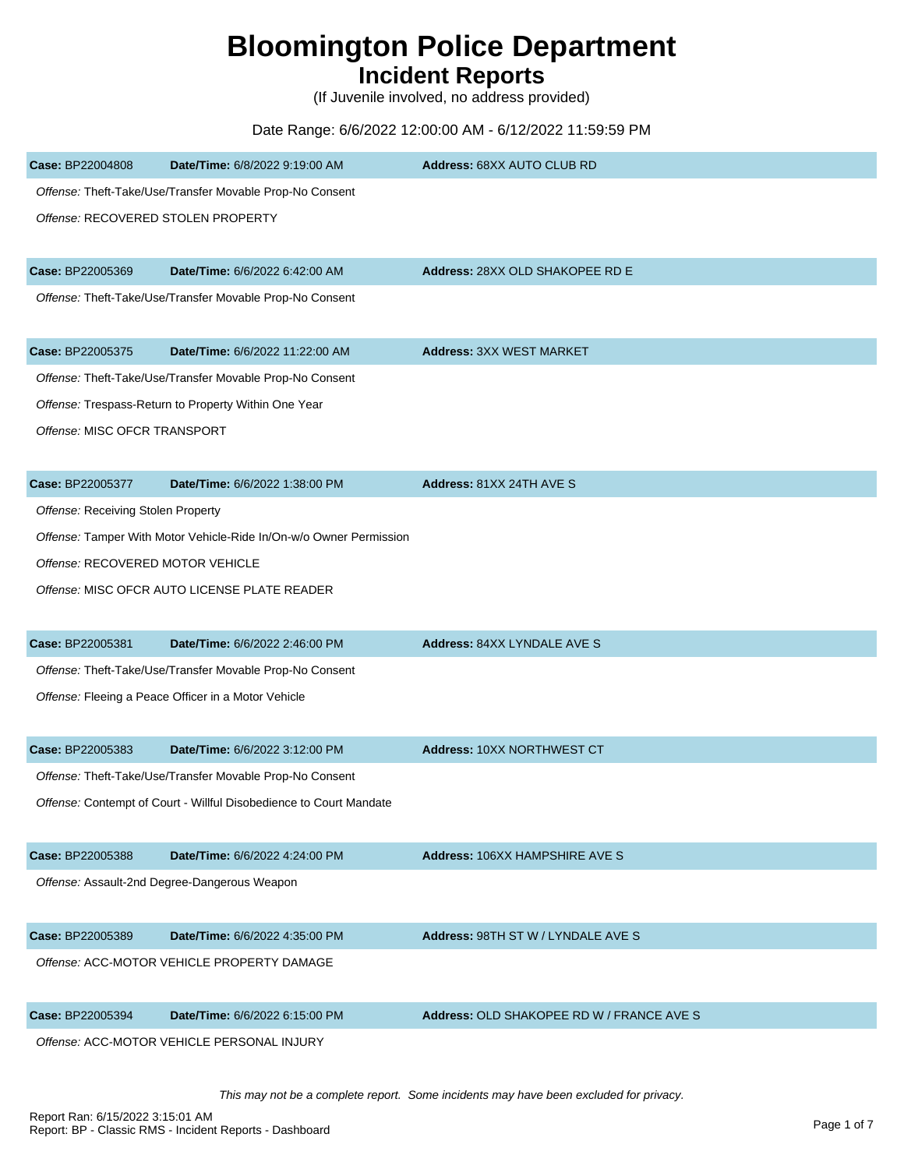## **Bloomington Police Department**

## **Incident Reports**

(If Juvenile involved, no address provided)

## Date Range: 6/6/2022 12:00:00 AM - 6/12/2022 11:59:59 PM

| Case: BP22004808                   | Date/Time: 6/8/2022 9:19:00 AM                                     | Address: 68XX AUTO CLUB RD                |
|------------------------------------|--------------------------------------------------------------------|-------------------------------------------|
|                                    | Offense: Theft-Take/Use/Transfer Movable Prop-No Consent           |                                           |
| Offense: RECOVERED STOLEN PROPERTY |                                                                    |                                           |
|                                    |                                                                    |                                           |
| Case: BP22005369                   | Date/Time: 6/6/2022 6:42:00 AM                                     | Address: 28XX OLD SHAKOPEE RD E           |
|                                    | Offense: Theft-Take/Use/Transfer Movable Prop-No Consent           |                                           |
| Case: BP22005375                   | Date/Time: 6/6/2022 11:22:00 AM                                    | <b>Address: 3XX WEST MARKET</b>           |
|                                    | Offense: Theft-Take/Use/Transfer Movable Prop-No Consent           |                                           |
|                                    | Offense: Trespass-Return to Property Within One Year               |                                           |
| Offense: MISC OFCR TRANSPORT       |                                                                    |                                           |
|                                    |                                                                    |                                           |
| Case: BP22005377                   | Date/Time: 6/6/2022 1:38:00 PM                                     | Address: 81XX 24TH AVE S                  |
| Offense: Receiving Stolen Property |                                                                    |                                           |
|                                    | Offense: Tamper With Motor Vehicle-Ride In/On-w/o Owner Permission |                                           |
| Offense: RECOVERED MOTOR VEHICLE   |                                                                    |                                           |
|                                    | Offense: MISC OFCR AUTO LICENSE PLATE READER                       |                                           |
|                                    |                                                                    |                                           |
| Case: BP22005381                   | Date/Time: 6/6/2022 2:46:00 PM                                     | Address: 84XX LYNDALE AVE S               |
|                                    | Offense: Theft-Take/Use/Transfer Movable Prop-No Consent           |                                           |
|                                    | Offense: Fleeing a Peace Officer in a Motor Vehicle                |                                           |
|                                    |                                                                    |                                           |
| Case: BP22005383                   | Date/Time: 6/6/2022 3:12:00 PM                                     | Address: 10XX NORTHWEST CT                |
|                                    | Offense: Theft-Take/Use/Transfer Movable Prop-No Consent           |                                           |
|                                    | Offense: Contempt of Court - Willful Disobedience to Court Mandate |                                           |
|                                    |                                                                    |                                           |
| Case: BP22005388                   | Date/Time: 6/6/2022 4:24:00 PM                                     | Address: 106XX HAMPSHIRE AVE S            |
|                                    | Offense: Assault-2nd Degree-Dangerous Weapon                       |                                           |
|                                    |                                                                    |                                           |
| Case: BP22005389                   | Date/Time: 6/6/2022 4:35:00 PM                                     | Address: 98TH ST W / LYNDALE AVE S        |
|                                    | Offense: ACC-MOTOR VEHICLE PROPERTY DAMAGE                         |                                           |
| Case: BP22005394                   | Date/Time: 6/6/2022 6:15:00 PM                                     | Address: OLD SHAKOPEE RD W / FRANCE AVE S |
|                                    | Offense: ACC-MOTOR VEHICLE PERSONAL INJURY                         |                                           |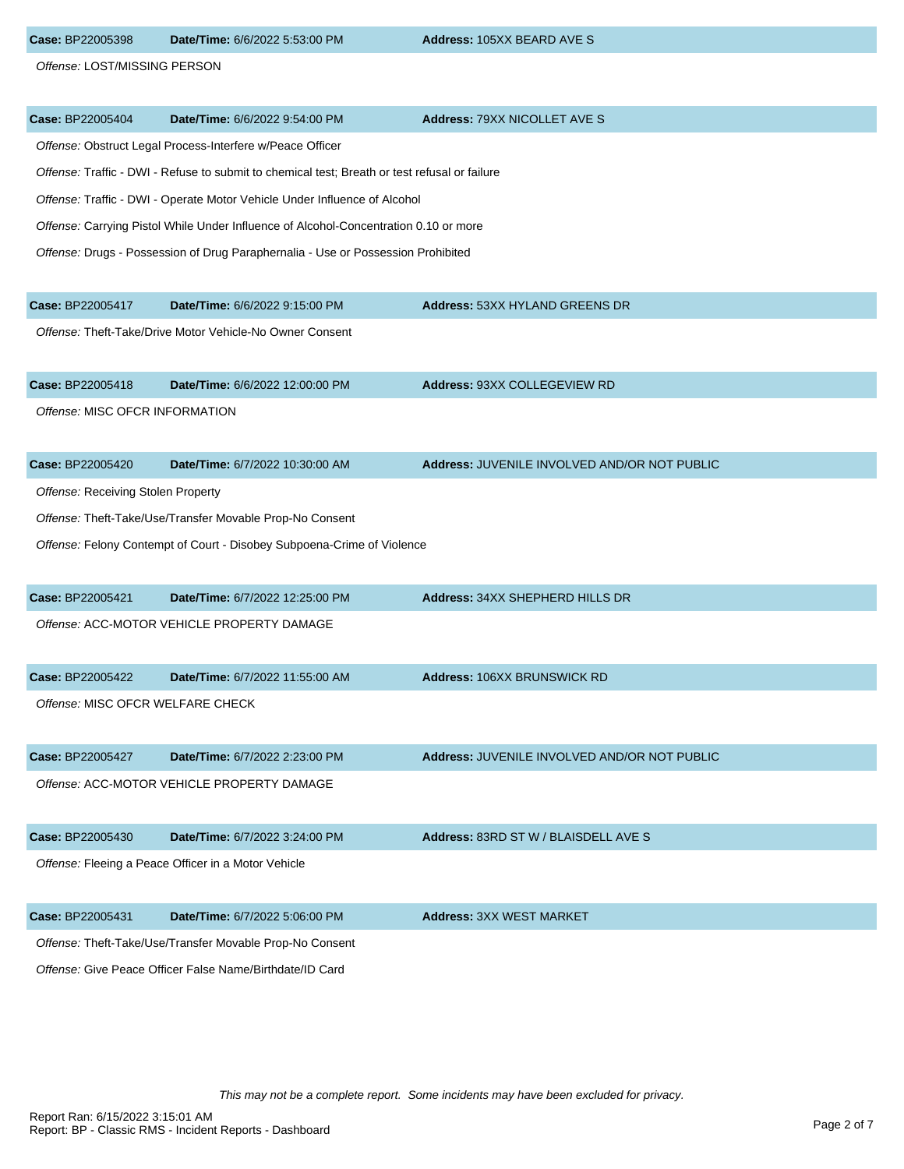| Case: BP22005398                   | Date/Time: 6/6/2022 5:53:00 PM                                                                | Address: 105XX BEARD AVE S                   |
|------------------------------------|-----------------------------------------------------------------------------------------------|----------------------------------------------|
| Offense: LOST/MISSING PERSON       |                                                                                               |                                              |
| Case: BP22005404                   | Date/Time: 6/6/2022 9:54:00 PM                                                                | Address: 79XX NICOLLET AVE S                 |
|                                    | Offense: Obstruct Legal Process-Interfere w/Peace Officer                                     |                                              |
|                                    | Offense: Traffic - DWI - Refuse to submit to chemical test; Breath or test refusal or failure |                                              |
|                                    | Offense: Traffic - DWI - Operate Motor Vehicle Under Influence of Alcohol                     |                                              |
|                                    | Offense: Carrying Pistol While Under Influence of Alcohol-Concentration 0.10 or more          |                                              |
|                                    | Offense: Drugs - Possession of Drug Paraphernalia - Use or Possession Prohibited              |                                              |
| Case: BP22005417                   | Date/Time: 6/6/2022 9:15:00 PM                                                                | Address: 53XX HYLAND GREENS DR               |
|                                    | Offense: Theft-Take/Drive Motor Vehicle-No Owner Consent                                      |                                              |
| Case: BP22005418                   | Date/Time: 6/6/2022 12:00:00 PM                                                               | Address: 93XX COLLEGEVIEW RD                 |
| Offense: MISC OFCR INFORMATION     |                                                                                               |                                              |
| Case: BP22005420                   | Date/Time: 6/7/2022 10:30:00 AM                                                               | Address: JUVENILE INVOLVED AND/OR NOT PUBLIC |
| Offense: Receiving Stolen Property |                                                                                               |                                              |
|                                    | Offense: Theft-Take/Use/Transfer Movable Prop-No Consent                                      |                                              |
|                                    | Offense: Felony Contempt of Court - Disobey Subpoena-Crime of Violence                        |                                              |
| Case: BP22005421                   | Date/Time: 6/7/2022 12:25:00 PM                                                               | Address: 34XX SHEPHERD HILLS DR              |
|                                    | Offense: ACC-MOTOR VEHICLE PROPERTY DAMAGE                                                    |                                              |
| Case: BP22005422                   | Date/Time: 6/7/2022 11:55:00 AM                                                               | <b>Address: 106XX BRUNSWICK RD</b>           |
| Offense: MISC OFCR WELFARE CHECK   |                                                                                               |                                              |
| Case: BP22005427                   | Date/Time: 6/7/2022 2:23:00 PM                                                                | Address: JUVENILE INVOLVED AND/OR NOT PUBLIC |
|                                    | Offense: ACC-MOTOR VEHICLE PROPERTY DAMAGE                                                    |                                              |
| Case: BP22005430                   | Date/Time: 6/7/2022 3:24:00 PM                                                                | Address: 83RD ST W / BLAISDELL AVE S         |
|                                    | Offense: Fleeing a Peace Officer in a Motor Vehicle                                           |                                              |
| Case: BP22005431                   | Date/Time: 6/7/2022 5:06:00 PM                                                                | <b>Address: 3XX WEST MARKET</b>              |
|                                    | Offense: Theft-Take/Use/Transfer Movable Prop-No Consent                                      |                                              |

Offense: Give Peace Officer False Name/Birthdate/ID Card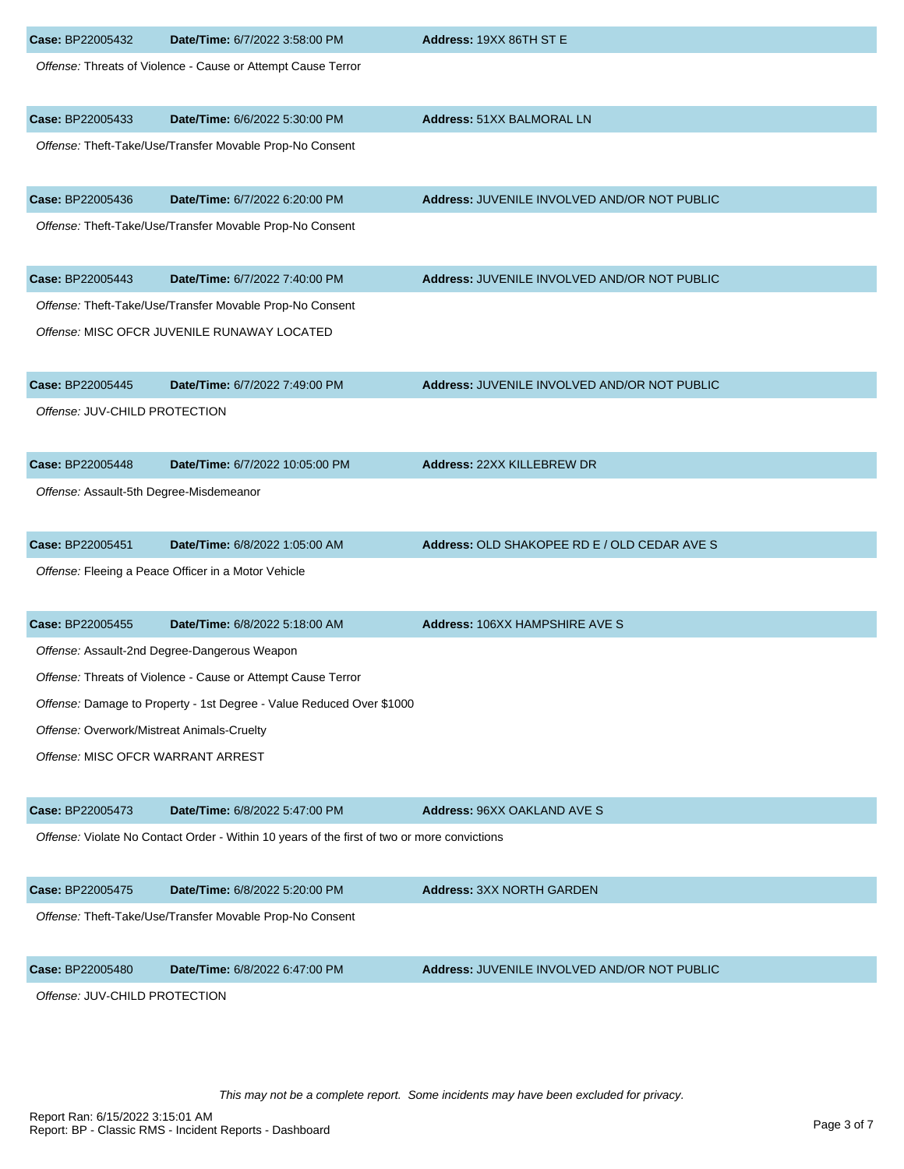| Case: BP22005432                           | Date/Time: 6/7/2022 3:58:00 PM                                                              | Address: 19XX 86TH ST E                      |
|--------------------------------------------|---------------------------------------------------------------------------------------------|----------------------------------------------|
|                                            | Offense: Threats of Violence - Cause or Attempt Cause Terror                                |                                              |
| Case: BP22005433                           | Date/Time: 6/6/2022 5:30:00 PM                                                              | <b>Address: 51XX BALMORAL LN</b>             |
|                                            | Offense: Theft-Take/Use/Transfer Movable Prop-No Consent                                    |                                              |
| Case: BP22005436                           | Date/Time: 6/7/2022 6:20:00 PM                                                              | Address: JUVENILE INVOLVED AND/OR NOT PUBLIC |
|                                            | Offense: Theft-Take/Use/Transfer Movable Prop-No Consent                                    |                                              |
| Case: BP22005443                           | Date/Time: 6/7/2022 7:40:00 PM                                                              | Address: JUVENILE INVOLVED AND/OR NOT PUBLIC |
|                                            | Offense: Theft-Take/Use/Transfer Movable Prop-No Consent                                    |                                              |
|                                            | Offense: MISC OFCR JUVENILE RUNAWAY LOCATED                                                 |                                              |
| Case: BP22005445                           | Date/Time: 6/7/2022 7:49:00 PM                                                              | Address: JUVENILE INVOLVED AND/OR NOT PUBLIC |
| Offense: JUV-CHILD PROTECTION              |                                                                                             |                                              |
| Case: BP22005448                           | Date/Time: 6/7/2022 10:05:00 PM                                                             | Address: 22XX KILLEBREW DR                   |
| Offense: Assault-5th Degree-Misdemeanor    |                                                                                             |                                              |
| Case: BP22005451                           | Date/Time: 6/8/2022 1:05:00 AM                                                              | Address: OLD SHAKOPEE RD E / OLD CEDAR AVE S |
|                                            | Offense: Fleeing a Peace Officer in a Motor Vehicle                                         |                                              |
| Case: BP22005455                           | Date/Time: 6/8/2022 5:18:00 AM                                                              | Address: 106XX HAMPSHIRE AVE S               |
|                                            | Offense: Assault-2nd Degree-Dangerous Weapon                                                |                                              |
|                                            | Offense: Threats of Violence - Cause or Attempt Cause Terror                                |                                              |
|                                            | Offense: Damage to Property - 1st Degree - Value Reduced Over \$1000                        |                                              |
| Offense: Overwork/Mistreat Animals-Cruelty |                                                                                             |                                              |
| Offense: MISC OFCR WARRANT ARREST          |                                                                                             |                                              |
| Case: BP22005473                           | Date/Time: 6/8/2022 5:47:00 PM                                                              | Address: 96XX OAKLAND AVE S                  |
|                                            | Offense: Violate No Contact Order - Within 10 years of the first of two or more convictions |                                              |
| Case: BP22005475                           | Date/Time: 6/8/2022 5:20:00 PM                                                              | <b>Address: 3XX NORTH GARDEN</b>             |
|                                            | Offense: Theft-Take/Use/Transfer Movable Prop-No Consent                                    |                                              |
| Case: BP22005480                           | Date/Time: 6/8/2022 6:47:00 PM                                                              | Address: JUVENILE INVOLVED AND/OR NOT PUBLIC |
| Offense: JUV-CHILD PROTECTION              |                                                                                             |                                              |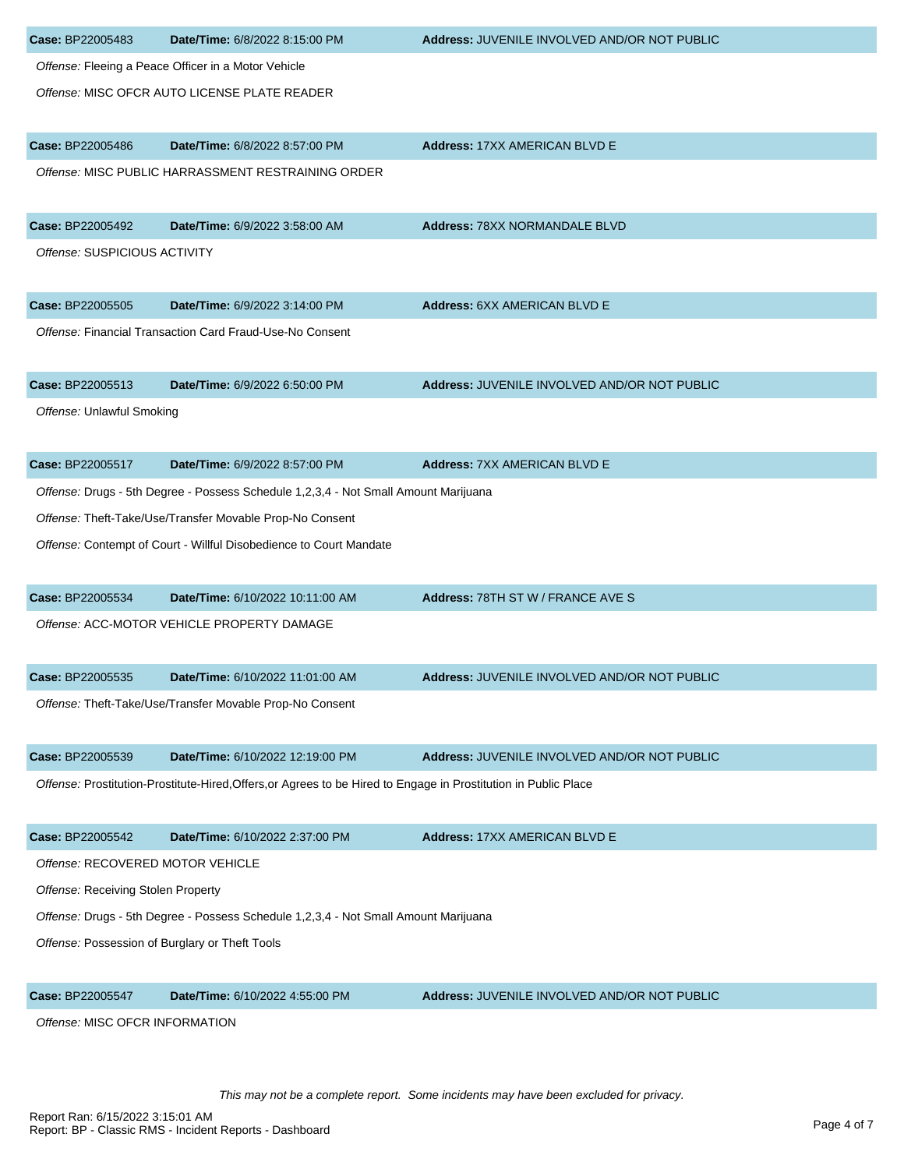| Case: BP22005483                                                                    | Date/Time: 6/8/2022 8:15:00 PM                                                                                  | Address: JUVENILE INVOLVED AND/OR NOT PUBLIC |  |
|-------------------------------------------------------------------------------------|-----------------------------------------------------------------------------------------------------------------|----------------------------------------------|--|
|                                                                                     | Offense: Fleeing a Peace Officer in a Motor Vehicle                                                             |                                              |  |
|                                                                                     | Offense: MISC OFCR AUTO LICENSE PLATE READER                                                                    |                                              |  |
|                                                                                     |                                                                                                                 |                                              |  |
| Case: BP22005486                                                                    | Date/Time: 6/8/2022 8:57:00 PM                                                                                  | <b>Address: 17XX AMERICAN BLVD E</b>         |  |
|                                                                                     | Offense: MISC PUBLIC HARRASSMENT RESTRAINING ORDER                                                              |                                              |  |
| Case: BP22005492                                                                    | Date/Time: 6/9/2022 3:58:00 AM                                                                                  | <b>Address: 78XX NORMANDALE BLVD</b>         |  |
| Offense: SUSPICIOUS ACTIVITY                                                        |                                                                                                                 |                                              |  |
| Case: BP22005505                                                                    | Date/Time: 6/9/2022 3:14:00 PM                                                                                  | Address: 6XX AMERICAN BLVD E                 |  |
|                                                                                     | Offense: Financial Transaction Card Fraud-Use-No Consent                                                        |                                              |  |
| Case: BP22005513                                                                    | Date/Time: 6/9/2022 6:50:00 PM                                                                                  | Address: JUVENILE INVOLVED AND/OR NOT PUBLIC |  |
| Offense: Unlawful Smoking                                                           |                                                                                                                 |                                              |  |
|                                                                                     |                                                                                                                 |                                              |  |
| Case: BP22005517                                                                    | Date/Time: 6/9/2022 8:57:00 PM                                                                                  | <b>Address: 7XX AMERICAN BLVD E</b>          |  |
|                                                                                     | Offense: Drugs - 5th Degree - Possess Schedule 1,2,3,4 - Not Small Amount Marijuana                             |                                              |  |
|                                                                                     | Offense: Theft-Take/Use/Transfer Movable Prop-No Consent                                                        |                                              |  |
|                                                                                     | Offense: Contempt of Court - Willful Disobedience to Court Mandate                                              |                                              |  |
| Case: BP22005534                                                                    | Date/Time: 6/10/2022 10:11:00 AM                                                                                | Address: 78TH ST W / FRANCE AVE S            |  |
|                                                                                     | Offense: ACC-MOTOR VEHICLE PROPERTY DAMAGE                                                                      |                                              |  |
| Case: BP22005535                                                                    | Date/Time: 6/10/2022 11:01:00 AM                                                                                | Address: JUVENILE INVOLVED AND/OR NOT PUBLIC |  |
|                                                                                     | Offense: Theft-Take/Use/Transfer Movable Prop-No Consent                                                        |                                              |  |
| Case: BP22005539                                                                    | Date/Time: 6/10/2022 12:19:00 PM                                                                                | Address: JUVENILE INVOLVED AND/OR NOT PUBLIC |  |
|                                                                                     | Offense: Prostitution-Prostitute-Hired, Offers, or Agrees to be Hired to Engage in Prostitution in Public Place |                                              |  |
| Case: BP22005542                                                                    | Date/Time: 6/10/2022 2:37:00 PM                                                                                 | <b>Address: 17XX AMERICAN BLVD E</b>         |  |
| Offense: RECOVERED MOTOR VEHICLE                                                    |                                                                                                                 |                                              |  |
| Offense: Receiving Stolen Property                                                  |                                                                                                                 |                                              |  |
| Offense: Drugs - 5th Degree - Possess Schedule 1,2,3,4 - Not Small Amount Marijuana |                                                                                                                 |                                              |  |
|                                                                                     | Offense: Possession of Burglary or Theft Tools                                                                  |                                              |  |
| Case: BP22005547                                                                    | Date/Time: 6/10/2022 4:55:00 PM                                                                                 | Address: JUVENILE INVOLVED AND/OR NOT PUBLIC |  |
|                                                                                     |                                                                                                                 |                                              |  |

Offense: MISC OFCR INFORMATION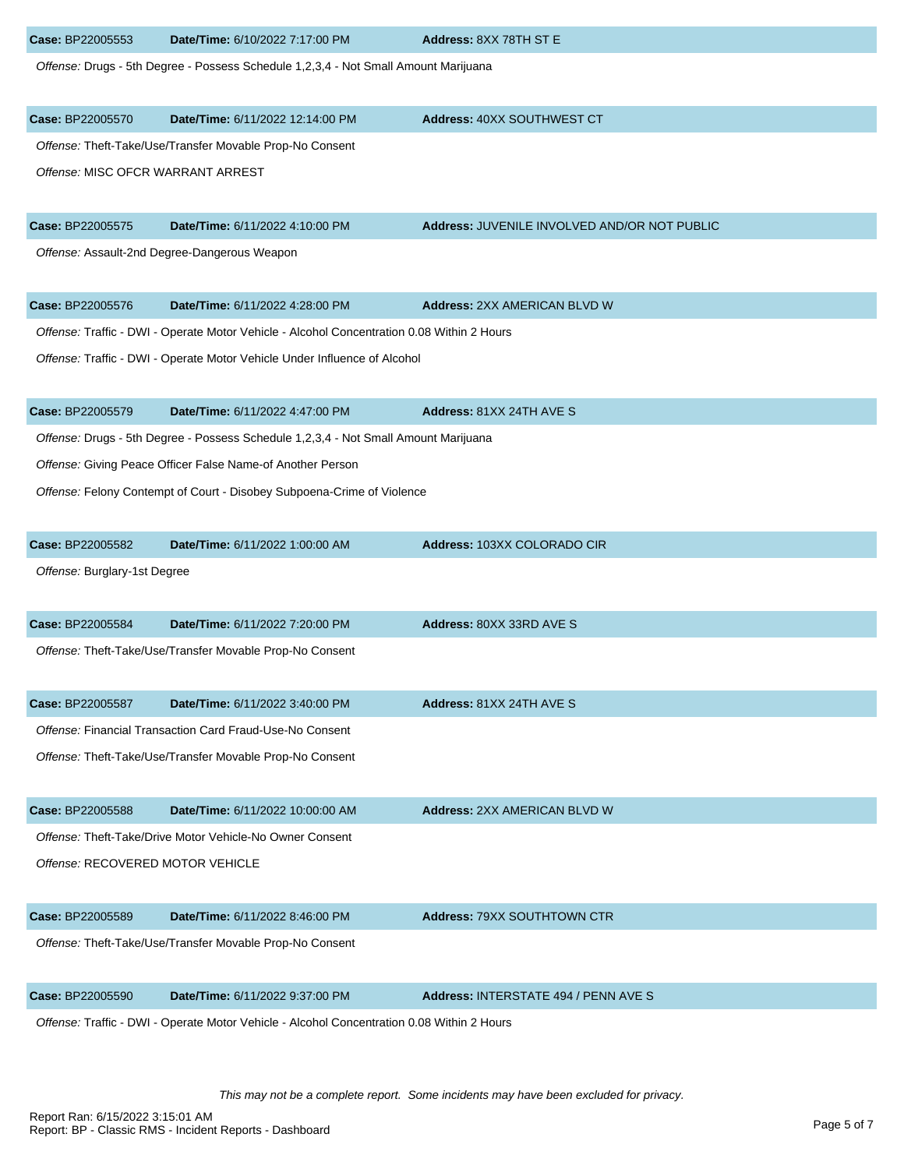| Case: BP22005553                  | Date/Time: 6/10/2022 7:17:00 PM                                                            | Address: 8XX 78TH ST E                       |
|-----------------------------------|--------------------------------------------------------------------------------------------|----------------------------------------------|
|                                   | Offense: Drugs - 5th Degree - Possess Schedule 1,2,3,4 - Not Small Amount Marijuana        |                                              |
| Case: BP22005570                  | Date/Time: 6/11/2022 12:14:00 PM                                                           | Address: 40XX SOUTHWEST CT                   |
|                                   | Offense: Theft-Take/Use/Transfer Movable Prop-No Consent                                   |                                              |
| Offense: MISC OFCR WARRANT ARREST |                                                                                            |                                              |
| Case: BP22005575                  | Date/Time: 6/11/2022 4:10:00 PM                                                            | Address: JUVENILE INVOLVED AND/OR NOT PUBLIC |
|                                   | Offense: Assault-2nd Degree-Dangerous Weapon                                               |                                              |
| Case: BP22005576                  | Date/Time: 6/11/2022 4:28:00 PM                                                            | <b>Address: 2XX AMERICAN BLVD W</b>          |
|                                   | Offense: Traffic - DWI - Operate Motor Vehicle - Alcohol Concentration 0.08 Within 2 Hours |                                              |
|                                   | Offense: Traffic - DWI - Operate Motor Vehicle Under Influence of Alcohol                  |                                              |
| Case: BP22005579                  | Date/Time: 6/11/2022 4:47:00 PM                                                            | Address: 81XX 24TH AVE S                     |
|                                   | Offense: Drugs - 5th Degree - Possess Schedule 1,2,3,4 - Not Small Amount Marijuana        |                                              |
|                                   | Offense: Giving Peace Officer False Name-of Another Person                                 |                                              |
|                                   | Offense: Felony Contempt of Court - Disobey Subpoena-Crime of Violence                     |                                              |
| Case: BP22005582                  | Date/Time: 6/11/2022 1:00:00 AM                                                            | Address: 103XX COLORADO CIR                  |
| Offense: Burglary-1st Degree      |                                                                                            |                                              |
| Case: BP22005584                  | Date/Time: 6/11/2022 7:20:00 PM                                                            | Address: 80XX 33RD AVE S                     |
|                                   | Offense: Theft-Take/Use/Transfer Movable Prop-No Consent                                   |                                              |
| Case: BP22005587                  | Date/Time: 6/11/2022 3:40:00 PM                                                            | Address: 81XX 24TH AVE S                     |
|                                   | Offense: Financial Transaction Card Fraud-Use-No Consent                                   |                                              |
|                                   | Offense: Theft-Take/Use/Transfer Movable Prop-No Consent                                   |                                              |
| Case: BP22005588                  | Date/Time: 6/11/2022 10:00:00 AM                                                           | <b>Address: 2XX AMERICAN BLVD W</b>          |
|                                   | Offense: Theft-Take/Drive Motor Vehicle-No Owner Consent                                   |                                              |
| Offense: RECOVERED MOTOR VEHICLE  |                                                                                            |                                              |
| Case: BP22005589                  | Date/Time: 6/11/2022 8:46:00 PM                                                            | <b>Address: 79XX SOUTHTOWN CTR</b>           |
|                                   | Offense: Theft-Take/Use/Transfer Movable Prop-No Consent                                   |                                              |
| Case: BP22005590                  | Date/Time: 6/11/2022 9:37:00 PM                                                            | Address: INTERSTATE 494 / PENN AVE S         |
|                                   | Offense: Traffic - DWI - Operate Motor Vehicle - Alcohol Concentration 0.08 Within 2 Hours |                                              |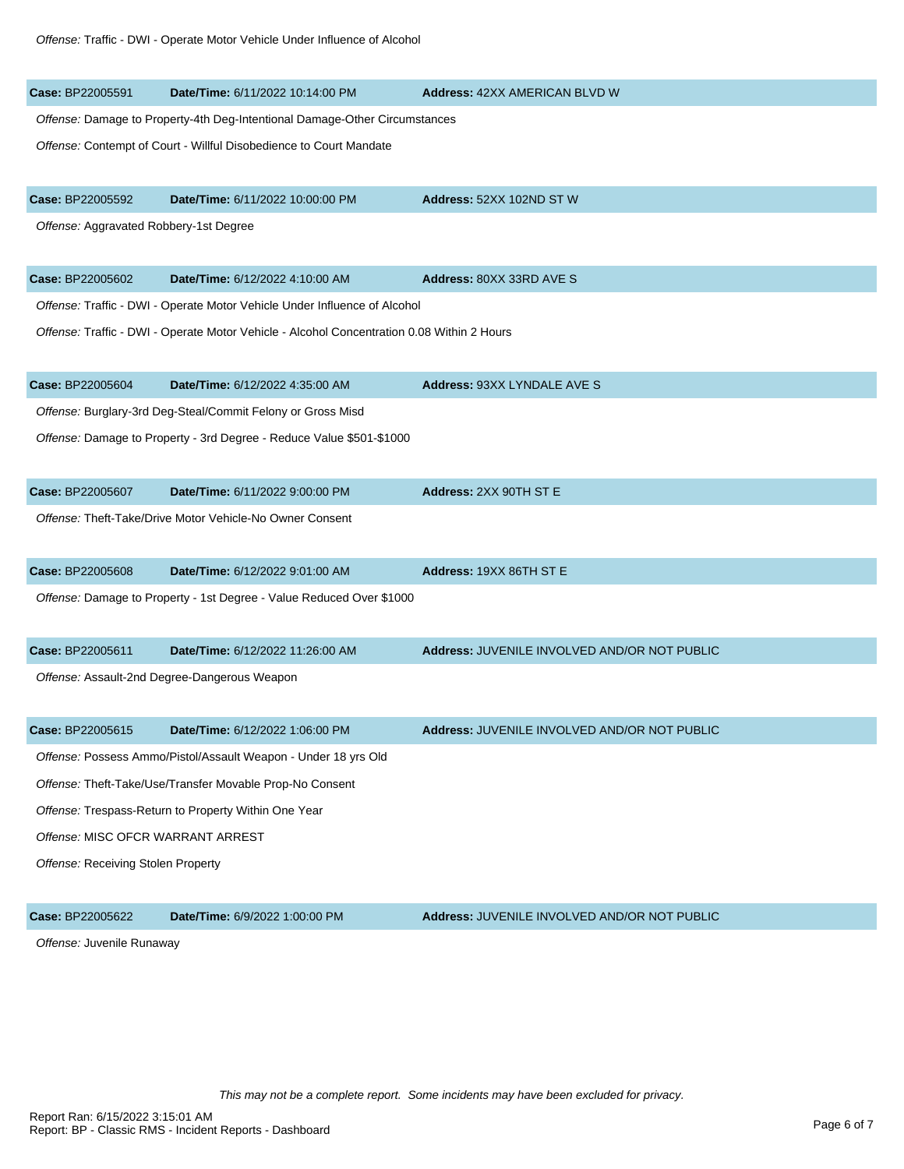| Case: BP22005591                       | Date/Time: 6/11/2022 10:14:00 PM                                                           | <b>Address: 42XX AMERICAN BLVD W</b>         |  |
|----------------------------------------|--------------------------------------------------------------------------------------------|----------------------------------------------|--|
|                                        | Offense: Damage to Property-4th Deg-Intentional Damage-Other Circumstances                 |                                              |  |
|                                        | Offense: Contempt of Court - Willful Disobedience to Court Mandate                         |                                              |  |
| Case: BP22005592                       | Date/Time: 6/11/2022 10:00:00 PM                                                           | Address: 52XX 102ND ST W                     |  |
| Offense: Aggravated Robbery-1st Degree |                                                                                            |                                              |  |
| Case: BP22005602                       | Date/Time: 6/12/2022 4:10:00 AM                                                            | Address: 80XX 33RD AVE S                     |  |
|                                        | Offense: Traffic - DWI - Operate Motor Vehicle Under Influence of Alcohol                  |                                              |  |
|                                        | Offense: Traffic - DWI - Operate Motor Vehicle - Alcohol Concentration 0.08 Within 2 Hours |                                              |  |
| Case: BP22005604                       | Date/Time: 6/12/2022 4:35:00 AM                                                            | <b>Address: 93XX LYNDALE AVE S</b>           |  |
|                                        | Offense: Burglary-3rd Deg-Steal/Commit Felony or Gross Misd                                |                                              |  |
|                                        | Offense: Damage to Property - 3rd Degree - Reduce Value \$501-\$1000                       |                                              |  |
| Case: BP22005607                       | Date/Time: 6/11/2022 9:00:00 PM                                                            | Address: 2XX 90TH ST E                       |  |
|                                        | Offense: Theft-Take/Drive Motor Vehicle-No Owner Consent                                   |                                              |  |
| Case: BP22005608                       | Date/Time: 6/12/2022 9:01:00 AM                                                            | Address: 19XX 86TH ST E                      |  |
|                                        | Offense: Damage to Property - 1st Degree - Value Reduced Over \$1000                       |                                              |  |
| Case: BP22005611                       | Date/Time: 6/12/2022 11:26:00 AM                                                           | Address: JUVENILE INVOLVED AND/OR NOT PUBLIC |  |
|                                        | Offense: Assault-2nd Degree-Dangerous Weapon                                               |                                              |  |
| Case: BP22005615                       | Date/Time: 6/12/2022 1:06:00 PM                                                            | Address: JUVENILE INVOLVED AND/OR NOT PUBLIC |  |
|                                        | Offense: Possess Ammo/Pistol/Assault Weapon - Under 18 yrs Old                             |                                              |  |
|                                        | Offense: Theft-Take/Use/Transfer Movable Prop-No Consent                                   |                                              |  |
|                                        | Offense: Trespass-Return to Property Within One Year                                       |                                              |  |
| Offense: MISC OFCR WARRANT ARREST      |                                                                                            |                                              |  |
| Offense: Receiving Stolen Property     |                                                                                            |                                              |  |
| Case: BP22005622                       | Date/Time: 6/9/2022 1:00:00 PM                                                             | Address: JUVENILE INVOLVED AND/OR NOT PUBLIC |  |

Offense: Juvenile Runaway